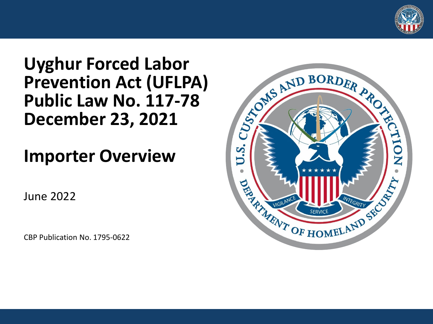

#### or **Uyghur Forced Labor Prevention Act (UFLPA) Public Law No. 117-78 December 23, 2021**

#### **Importer Overview**

June 2022

CBP Publication No. 1795-0622

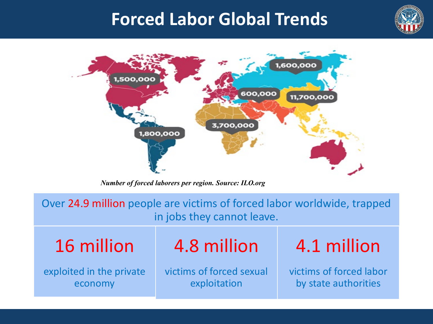

#### **Forced Labor Global Trends**



*Number of forced laborers per region. Source: ILO.org* 

 Over 24.9 million people are victims of forced labor worldwide, trapped in jobs they cannot leave.

16 million

exploited in the private economy

4.8 million

 victims of forced sexual exploitation

4.1 million

victims of forced labor by state authorities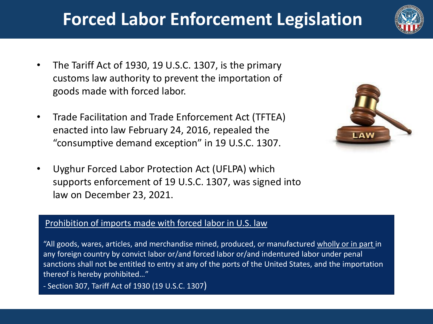## **Forced Labor Enforcement Legislation**



- • The Tariff Act of 1930, 19 U.S.C. 1307, is the primary customs law authority to prevent the importation of goods made with forced labor.
- • Trade Facilitation and Trade Enforcement Act (TFTEA) enacted into law February 24, 2016, repealed the "consumptive demand exception" in 19 U.S.C. 1307.
- supports enforcement of 19 U.S.C. 1307, was signed into • Uyghur Forced Labor Protection Act (UFLPA) which law on December 23, 2021.

# LAW

#### Prohibition of imports made with forced labor in U.S. law

"All goods, wares, articles, and merchandise mined, produced, or manufactured wholly or in part in any foreign country by convict labor or/and forced labor or/and indentured labor under penal sanctions shall not be entitled to entry at any of the ports of the United States, and the importation thereof is hereby prohibited…"

- Section 307, Tariff Act of 1930 (19 U.S.C. 1307)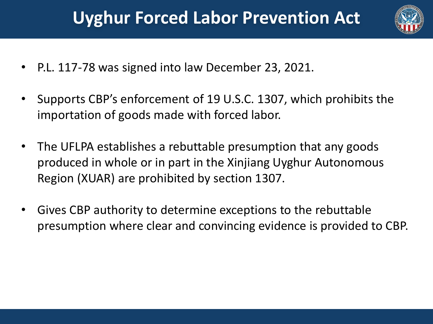## **Uyghur Forced Labor Prevention Act**



- P.L. 117-78 was signed into law December 23, 2021.
- • Supports CBP's enforcement of 19 U.S.C. 1307, which prohibits the importation of goods made with forced labor.
- • The UFLPA establishes a rebuttable presumption that any goods produced in whole or in part in the Xinjiang Uyghur Autonomous Region (XUAR) are prohibited by section 1307.
- • Gives CBP authority to determine exceptions to the rebuttable presumption where clear and convincing evidence is provided to CBP.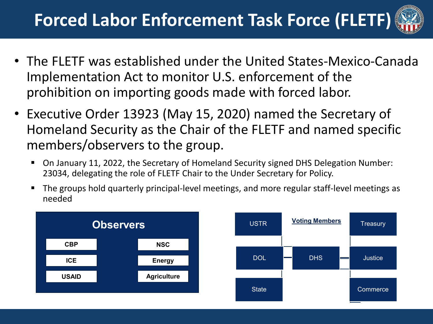## **Forced Labor Enforcement Task Force (FLETF)**



- • The FLETF was established under the United States-Mexico-Canada Implementation Act to monitor U.S. enforcement of the prohibition on importing goods made with forced labor.
- • Executive Order 13923 (May 15, 2020) named the Secretary of Homeland Security as the Chair of the FLETF and named specific members/observers to the group.
	- On January 11, 2022, the Secretary of Homeland Security signed DHS Delegation Number: 23034, delegating the role of FLETF Chair to the Under Secretary for Policy.
	- **The groups hold quarterly principal-level meetings, and more regular staff-level meetings as** needed



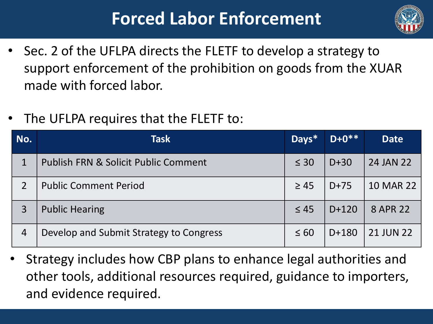## **Forced Labor Enforcement**



- • Sec. 2 of the UFLPA directs the FLETF to develop a strategy to support enforcement of the prohibition on goods from the XUAR made with forced labor.
- The UFLPA requires that the FLETF to:

| No.            | Task                                            | Days*     | $D + 0**$ | <b>Date</b>      |
|----------------|-------------------------------------------------|-----------|-----------|------------------|
| $\mathbf{1}$   | <b>Publish FRN &amp; Solicit Public Comment</b> | $\leq 30$ | $D+30$    | 24 JAN 22        |
| $\overline{2}$ | <b>Public Comment Period</b>                    | $\geq 45$ | $D+75$    | <b>10 MAR 22</b> |
| $\overline{3}$ | <b>Public Hearing</b>                           | $\leq 45$ | $D+120$   | 8 APR 22         |
| $\overline{4}$ | Develop and Submit Strategy to Congress         | $\leq 60$ | $D+180$   | <b>21 JUN 22</b> |

 • Strategy includes how CBP plans to enhance legal authorities and other tools, additional resources required, guidance to importers, and evidence required.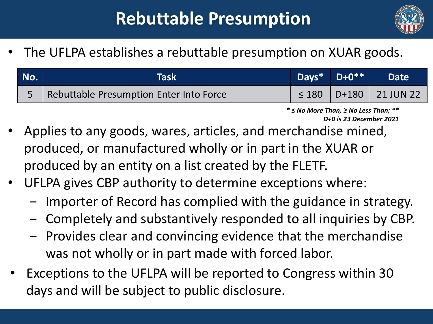## **Rebuttable Presumption**



• The UFLPA establishes a rebuttable presumption on XUAR goods.

| No. | Taski                                       | Days* $D+0**$ | <b>Date</b>                    |
|-----|---------------------------------------------|---------------|--------------------------------|
|     | 5   Rebuttable Presumption Enter Into Force |               | $\leq$ 180   D+180   21 JUN 22 |

 *\* ≤ No More Than, ≥ No Less Than; \*\* D+0 is 23 December 2021* 

- • Applies to any goods, wares, articles, and merchandise mined, produced, or manufactured wholly or in part in the XUAR or produced by an entity on a list created by the FLETF.
- • UFLPA gives CBP authority to determine exceptions where:
	- Importer of Record has complied with the guidance in strategy.
	- ‒ Completely and substantively responded to all inquiries by CBP.
	- ‒ Provides clear and convincing evidence that the merchandise was not wholly or in part made with forced labor.
- Exceptions to the UFLPA will be reported to Congress within 30 days and will be subject to public disclosure.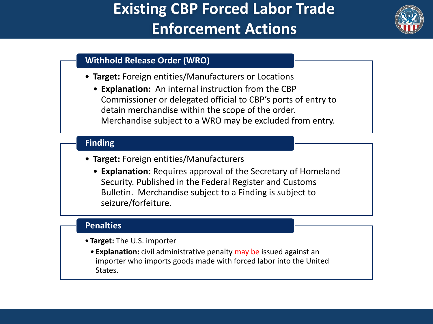#### **Existing CBP Forced Labor Trade Enforcement Actions**



#### **Withhold Release Order (WRO)**

- **Target:** Foreign entities/Manufacturers or Locations
	- • **Explanation:** An internal instruction from the CBP Commissioner or delegated official to CBP's ports of entry to detain merchandise within the scope of the order. Merchandise subject to a WRO may be excluded from entry.

#### **Finding**

- **Target:** Foreign entities/Manufacturers
	- • **Explanation:** Requires approval of the Secretary of Homeland Security. Published in the Federal Register and Customs Bulletin. Merchandise subject to a Finding is subject to seizure/forfeiture.

#### **Penalties**

- **Target:** The U.S. importer
	- importer who imports goods made with forced labor into the United • **Explanation:** civil administrative penalty may be issued against an States.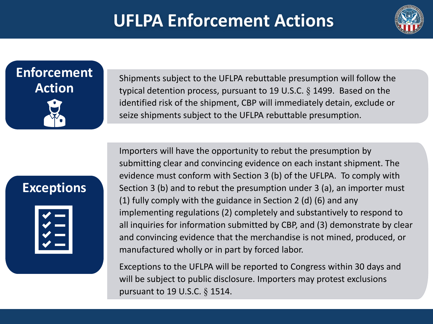#### **UFLPA Enforcement Actions**



## **Enforcement Action**

 Shipments subject to the UFLPA rebuttable presumption will follow the typical detention process, pursuant to 19 U.S.C.  $\S$  1499. Based on the identified risk of the shipment, CBP will immediately detain, exclude or seize shipments subject to the UFLPA rebuttable presumption.

#### **Exceptions**



 Importers will have the opportunity to rebut the presumption by submitting clear and convincing evidence on each instant shipment. The evidence must conform with Section 3 (b) of the UFLPA. To comply with Section 3 (b) and to rebut the presumption under 3 (a), an importer must (1) fully comply with the guidance in Section 2 (d) (6) and any implementing regulations (2) completely and substantively to respond to all inquiries for information submitted by CBP, and (3) demonstrate by clear and convincing evidence that the merchandise is not mined, produced, or manufactured wholly or in part by forced labor.

 Exceptions to the UFLPA will be reported to Congress within 30 days and will be subject to public disclosure. Importers may protest exclusions pursuant to 19 U.S.C. § 1514.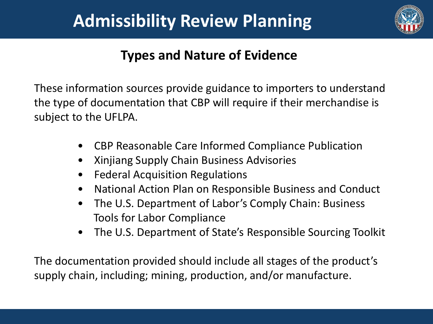#### **Admissibility Review Planning**



#### **Types and Nature of Evidence**

 These information sources provide guidance to importers to understand the type of documentation that CBP will require if their merchandise is subject to the UFLPA.

- CBP Reasonable Care Informed Compliance Publication
- Xinjiang Supply Chain Business Advisories
- Federal Acquisition Regulations
- National Action Plan on Responsible Business and Conduct
- $\bullet$  Tools for Labor Compliance • The U.S. Department of Labor's Comply Chain: Business
- The U.S. Department of State's Responsible Sourcing Toolkit

 The documentation provided should include all stages of the product's supply chain, including; mining, production, and/or manufacture.